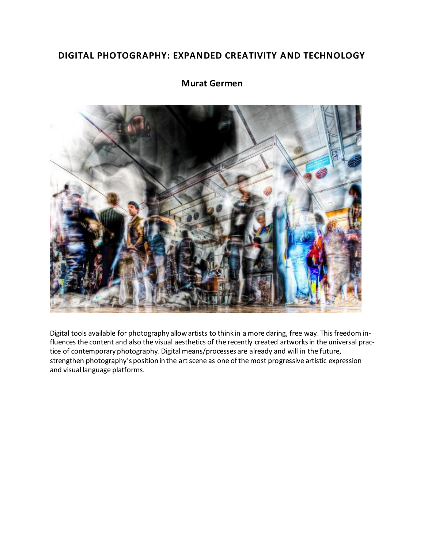# **DIGITAL PHOTOGRAPHY: EXPANDED CREATIVITY AND TECHNOLOGY**



# **Murat Germen**

Digital tools available for photography allow artists to think in a more daring, free way. This freedom influences the content and also the visual aesthetics of the recently created artworks in the universal practice of contemporary photography. Digital means/processes are already and will in the future, strengthen photography's position in the art scene as one of the most progressive artistic expression and visual language platforms.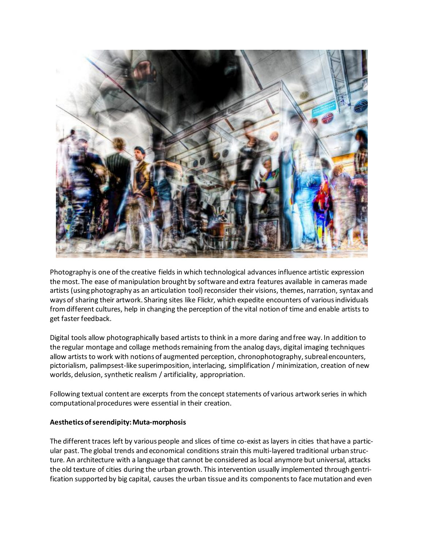

Photography is one of the creative fields in which technological advances influence artistic expression the most. The ease of manipulation brought by software and extra features available in cameras made artists (using photography as an articulation tool) reconsider their visions, themes, narration, syntax and ways of sharing their artwork. Sharing sites like Flickr, which expedite encounters of various individuals from different cultures, help in changing the perception of the vital notion of time and enable artists to get faster feedback.

Digital tools allow photographically based artists to think in a more daring and free way. In addition to the regular montage and collage methods remaining from the analog days, digital imaging techniques allow artists to work with notions of augmented perception, chronophotography, subreal encounters, pictorialism, palimpsest-like superimposition, interlacing, simplification / minimization, creation of new worlds, delusion, synthetic realism / artificiality, appropriation.

Following textual content are excerpts from the concept statements of various artwork series in which computational procedures were essential in their creation.

# **Aesthetics of serendipity: Muta-morphosis**

The different traces left by various people and slices of time co-exist as layers in cities that have a particular past. The global trends and economical conditions strain this multi-layered traditional urban structure. An architecture with a language that cannot be considered as local anymore but universal, attacks the old texture of cities during the urban growth. This intervention usually implemented through gentrification supported by big capital, causes the urban tissue and its components to face mutation and even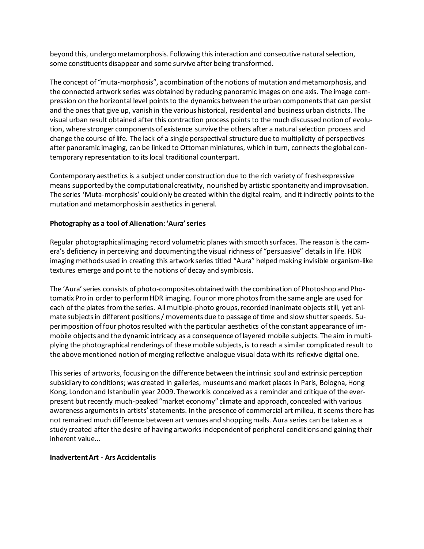beyond this, undergo metamorphosis. Following this interaction and consecutive natural selection, some constituents disappear and some survive after being transformed.

The concept of "muta-morphosis", a combination of the notions of mutation and metamorphosis, and the connected artwork series was obtained by reducing panoramic images on one axis. The image compression on the horizontal level points to the dynamics between the urban components that can persist and the ones that give up, vanish in the various historical, residential and business urban districts. The visual urban result obtained after this contraction process points to the much discussed notion of evolution, where stronger components of existence survive the others after a natural selection process and change the course of life. The lack of a single perspectival structure due to multiplicity of perspectives after panoramic imaging, can be linked to Ottoman miniatures, which in turn, connects the global contemporary representation to its local traditional counterpart.

Contemporary aesthetics is a subject under construction due to the rich variety of fresh expressive means supported by the computational creativity, nourished by artistic spontaneity and improvisation. The series 'Muta-morphosis' could only be created within the digital realm, and it indirectly points to the mutation and metamorphosis in aesthetics in general.

# **Photography as a tool of Alienation: 'Aura' series**

Regular photographical imaging record volumetric planes with smooth surfaces. The reason is the camera's deficiency in perceiving and documenting the visual richness of "persuasive" details in life. HDR imaging methods used in creating this artwork series titled "Aura" helped making invisible organism-like textures emerge and point to the notions of decay and symbiosis.

The 'Aura' series consists of photo-composites obtained with the combination of Photoshop and Photomatix Pro in order to perform HDR imaging. Four or more photos from the same angle are used for each of the plates from the series. All multiple-photo groups, recorded inanimate objects still, yet animate subjects in different positions / movements due to passage of time and slow shutter speeds. Superimposition of four photos resulted with the particular aesthetics of the constant appearance of immobile objects and the dynamic intricacy as a consequence of layered mobile subjects. The aim in multiplying the photographical renderings of these mobile subjects, is to reach a similar complicated result to the above mentioned notion of merging reflective analogue visual data with its reflexive digital one.

This series of artworks, focusing on the difference between the intrinsic soul and extrinsic perception subsidiary to conditions; was created in galleries, museums and market places in Paris, Bologna, Hong Kong, London and Istanbul in year 2009. The work is conceived as a reminder and critique of the everpresent but recently much-peaked "market economy" climate and approach, concealed with various awareness arguments in artists' statements. In the presence of commercial art milieu, it seems there has not remained much difference between art venues and shopping malls. Aura series can be taken as a study created after the desire of having artworks independent of peripheral conditions and gaining their inherent value...

# **Inadvertent Art - Ars Accidentalis**